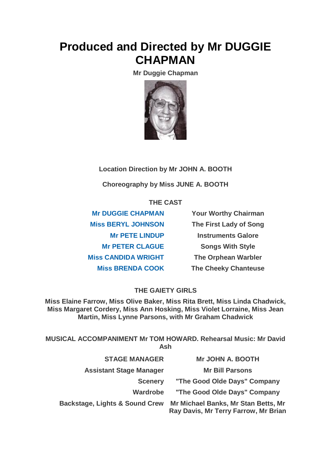# **Produced and Directed by Mr DUGGIE CHAPMAN**

**Mr Duggie Chapman**



## **Location Direction by Mr JOHN A. BOOTH**

**Choreography by Miss JUNE A. BOOTH**

### **THE CAST**

**[Mr DUGGIE CHAPMAN](https://www.carelinetheatre.com/pastprods/goodoldedays.php#DUGGIE) Your Worthy Chairman [Miss BERYL JOHNSON](https://www.carelinetheatre.com/pastprods/goodoldedays.php#BERYL) The First Lady of Song [Mr PETE LINDUP](https://www.carelinetheatre.com/pastprods/goodoldedays.php#PETE) Instruments Galore [Mr PETER CLAGUE](https://www.carelinetheatre.com/pastprods/goodoldedays.php#PETER) Songs With Style [Miss CANDIDA WRIGHT](https://www.carelinetheatre.com/pastprods/goodoldedays.php#CANDIDA) The Orphean Warbler [Miss BRENDA COOK](https://www.carelinetheatre.com/pastprods/goodoldedays.php#PETE) The Cheeky Chanteuse**

## **THE GAIETY GIRLS**

**Miss Elaine Farrow, Miss Olive Baker, Miss Rita Brett, Miss Linda Chadwick, Miss Margaret Cordery, Miss Ann Hosking, Miss Violet Lorraine, Miss Jean Martin, Miss Lynne Parsons, with Mr Graham Chadwick**

**MUSICAL ACCOMPANIMENT Mr TOM HOWARD. Rehearsal Music: Mr David Ash**

| <b>STAGE MANAGER</b>                      | <b>Mr JOHN A. BOOTH</b>                                                     |
|-------------------------------------------|-----------------------------------------------------------------------------|
| <b>Assistant Stage Manager</b>            | <b>Mr Bill Parsons</b>                                                      |
| <b>Scenery</b>                            | "The Good Olde Days" Company                                                |
| <b>Wardrobe</b>                           | "The Good Olde Days" Company                                                |
| <b>Backstage, Lights &amp; Sound Crew</b> | Mr Michael Banks, Mr Stan Betts, Mr<br>Ray Davis, Mr Terry Farrow, Mr Brian |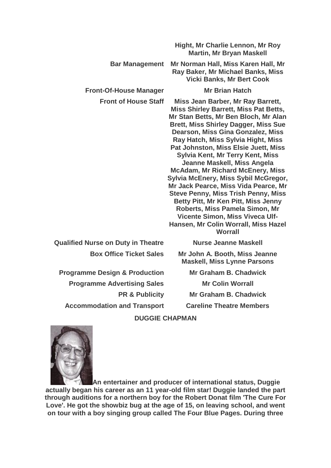|                                           | Hight, Mr Charlie Lennon, Mr Roy<br><b>Martin, Mr Bryan Maskell</b>                                                                                                                                                                                                                                                                                                                                                                                                                                                                                                                                                                                                                                           |
|-------------------------------------------|---------------------------------------------------------------------------------------------------------------------------------------------------------------------------------------------------------------------------------------------------------------------------------------------------------------------------------------------------------------------------------------------------------------------------------------------------------------------------------------------------------------------------------------------------------------------------------------------------------------------------------------------------------------------------------------------------------------|
| <b>Bar Management</b>                     | Mr Norman Hall, Miss Karen Hall, Mr<br>Ray Baker, Mr Michael Banks, Miss<br><b>Vicki Banks, Mr Bert Cook</b>                                                                                                                                                                                                                                                                                                                                                                                                                                                                                                                                                                                                  |
| <b>Front-Of-House Manager</b>             | <b>Mr Brian Hatch</b>                                                                                                                                                                                                                                                                                                                                                                                                                                                                                                                                                                                                                                                                                         |
| <b>Front of House Staff</b>               | Miss Jean Barber, Mr Ray Barrett,<br><b>Miss Shirley Barrett, Miss Pat Betts,</b><br>Mr Stan Betts, Mr Ben Bloch, Mr Alan<br><b>Brett, Miss Shirley Dagger, Miss Sue</b><br>Dearson, Miss Gina Gonzalez, Miss<br>Ray Hatch, Miss Sylvia Hight, Miss<br>Pat Johnston, Miss Elsie Juett, Miss<br>Sylvia Kent, Mr Terry Kent, Miss<br>Jeanne Maskell, Miss Angela<br><b>McAdam, Mr Richard McEnery, Miss</b><br>Sylvia McEnery, Miss Sybil McGregor,<br>Mr Jack Pearce, Miss Vida Pearce, Mr<br><b>Steve Penny, Miss Trish Penny, Miss</b><br>Betty Pitt, Mr Ken Pitt, Miss Jenny<br>Roberts, Miss Pamela Simon, Mr<br>Vicente Simon, Miss Viveca Ulf-<br>Hansen, Mr Colin Worrall, Miss Hazel<br><b>Worrall</b> |
| <b>Qualified Nurse on Duty in Theatre</b> | <b>Nurse Jeanne Maskell</b>                                                                                                                                                                                                                                                                                                                                                                                                                                                                                                                                                                                                                                                                                   |
| <b>Box Office Ticket Sales</b>            | Mr John A. Booth, Miss Jeanne<br><b>Maskell, Miss Lynne Parsons</b>                                                                                                                                                                                                                                                                                                                                                                                                                                                                                                                                                                                                                                           |
| <b>Programme Design &amp; Production</b>  | <b>Mr Graham B. Chadwick</b>                                                                                                                                                                                                                                                                                                                                                                                                                                                                                                                                                                                                                                                                                  |
| <b>Programme Advertising Sales</b>        | <b>Mr Colin Worrall</b>                                                                                                                                                                                                                                                                                                                                                                                                                                                                                                                                                                                                                                                                                       |
| <b>PR &amp; Publicity</b>                 | <b>Mr Graham B. Chadwick</b>                                                                                                                                                                                                                                                                                                                                                                                                                                                                                                                                                                                                                                                                                  |
| <b>Accommodation and Transport</b>        | <b>Careline Theatre Members</b>                                                                                                                                                                                                                                                                                                                                                                                                                                                                                                                                                                                                                                                                               |
|                                           |                                                                                                                                                                                                                                                                                                                                                                                                                                                                                                                                                                                                                                                                                                               |

#### **DUGGIE CHAPMAN**



**An entertainer and producer of international status, Duggie actually began his career as an 11 year-old film star! Duggie landed the part through auditions for a northern boy for the Robert Donat film 'The Cure For Love'. He got the showbiz bug at the age of 15, on leaving school, and went on tour with a boy singing group called The Four Blue Pages. During three**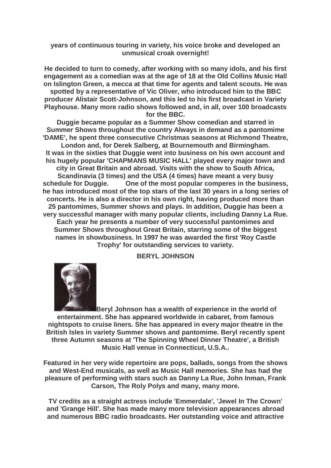#### **years of continuous touring in variety, his voice broke and developed an unmusical croak overnight!**

**He decided to turn to comedy, after working with so many idols, and his first engagement as a comedian was at the age of 18 at the Old Collins Music Hall on Islington Green, a mecca at that time for agents and talent scouts. He was spotted by a representative of Vic Oliver, who introduced him to the BBC producer Alistair Scott-Johnson, and this led to his first broadcast in Variety Playhouse. Many more radio shows followed and, in all, over 100 broadcasts for the BBC.**

**Duggie became popular as a Summer Show comedian and starred in Summer Shows throughout the country Always in demand as a pantomime 'DAME', he spent three consecutive Christmas seasons at Richmond Theatre, London and, for Derek Salberg, at Bournemouth and Birmingham. It was in the sixties that Duggie went into business on his own account and his hugely popular 'CHAPMANS MUSIC HALL' played every major town and city in Great Britain and abroad. Visits with the show to South Africa, Scandinavia (3 times) and the USA (4 times) have meant a very busy schedule for Duggie. One of the most popular comperes in the business, he has introduced most of the top stars of the last 30 years in a long series of concerts. He is also a director in his own right, having produced more than 25 pantomimes, Summer shows and plays. In addition, Duggie has been a very successful manager with many popular clients, including Danny La Rue. Each year he presents a number of very successful pantomimes and Summer Shows throughout Great Britain, starring some of the biggest names in showbusiness. In 1997 he was awarded the first 'Roy Castle Trophy' for outstanding services to variety.**

**BERYL JOHNSON**



**Beryl Johnson has a wealth of experience in the world of entertainment. She has appeared worldwide in cabaret, from famous nightspots to cruise liners. She has appeared in every major theatre in the British Isles in variety Summer shows and pantomime. Beryl recently spent three Autumn seasons at 'The Spinning Wheel Dinner Theatre', a British Music Hall venue in Connecticut, U.S.A..**

**Featured in her very wide repertoire are pops, ballads, songs from the shows and West-End musicals, as well as Music Hall memories. She has had the pleasure of performing with stars such as Danny La Rue, John Inman, Frank Carson, The Roly Polys and many, many more.**

**TV credits as a straight actress include 'Emmerdale', 'Jewel In The Crown' and 'Grange Hill'. She has made many more television appearances abroad and numerous BBC radio broadcasts. Her outstanding voice and attractive**